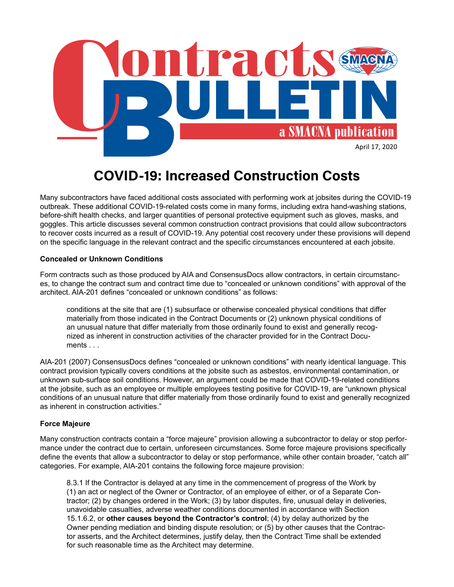

# **COVID-19: Increased Construction Costs**

Many subcontractors have faced additional costs associated with performing work at jobsites during the COVID-19 outbreak. These additional COVID-19-related costs come in many forms, including extra hand-washing stations, before-shift health checks, and larger quantities of personal protective equipment such as gloves, masks, and goggles. This article discusses several common construction contract provisions that could allow subcontractors to recover costs incurred as a result of COVID-19. Any potential cost recovery under these provisions will depend on the specific language in the relevant contract and the specific circumstances encountered at each jobsite.

### **Concealed or Unknown Conditions**

Form contracts such as those produced by AIA and ConsensusDocs allow contractors, in certain circumstances, to change the contract sum and contract time due to "concealed or unknown conditions" with approval of the architect. AIA-201 defines "concealed or unknown conditions" as follows:

conditions at the site that are (1) subsurface or otherwise concealed physical conditions that differ materially from those indicated in the Contract Documents or (2) unknown physical conditions of an unusual nature that differ materially from those ordinarily found to exist and generally recognized as inherent in construction activities of the character provided for in the Contract Documents . . .

AIA-201 (2007) ConsensusDocs defines "concealed or unknown conditions" with nearly identical language. This contract provision typically covers conditions at the jobsite such as asbestos, environmental contamination, or unknown sub-surface soil conditions. However, an argument could be made that COVID-19-related conditions at the jobsite, such as an employee or multiple employees testing positive for COVID-19, are "unknown physical conditions of an unusual nature that differ materially from those ordinarily found to exist and generally recognized as inherent in construction activities."

#### **Force Majeure**

Many construction contracts contain a "force majeure" provision allowing a subcontractor to delay or stop performance under the contract due to certain, unforeseen circumstances. Some force majeure provisions specifically define the events that allow a subcontractor to delay or stop performance, while other contain broader, "catch all" categories. For example, AIA-201 contains the following force majeure provision:

8.3.1 If the Contractor is delayed at any time in the commencement of progress of the Work by (1) an act or neglect of the Owner or Contractor, of an employee of either, or of a Separate Contractor; (2) by changes ordered in the Work; (3) by labor disputes, fire, unusual delay in deliveries, unavoidable casualties, adverse weather conditions documented in accordance with Section 15.1.6.2, or **other causes beyond the Contractor's control**; (4) by delay authorized by the Owner pending mediation and binding dispute resolution; or (5) by other causes that the Contractor asserts, and the Architect determines, justify delay, then the Contract Time shall be extended for such reasonable time as the Architect may determine.